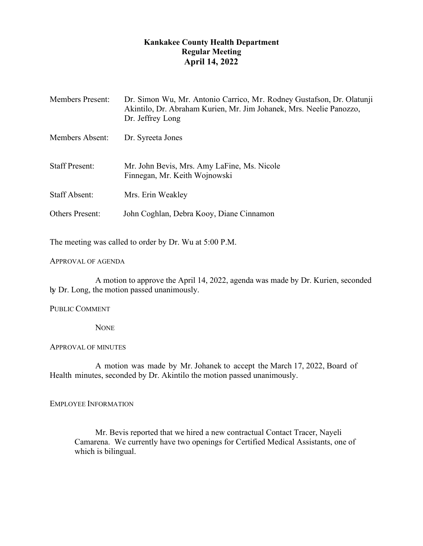# **Kankakee County Health Department Regular Meeting April 14, 2022**

| <b>Members Present:</b> | Dr. Simon Wu, Mr. Antonio Carrico, Mr. Rodney Gustafson, Dr. Olatunji<br>Akintilo, Dr. Abraham Kurien, Mr. Jim Johanek, Mrs. Neelie Panozzo,<br>Dr. Jeffrey Long |
|-------------------------|------------------------------------------------------------------------------------------------------------------------------------------------------------------|
| Members Absent:         | Dr. Syreeta Jones                                                                                                                                                |
| <b>Staff Present:</b>   | Mr. John Bevis, Mrs. Amy LaFine, Ms. Nicole<br>Finnegan, Mr. Keith Wojnowski                                                                                     |
| <b>Staff Absent:</b>    | Mrs. Erin Weakley                                                                                                                                                |
| <b>Others Present:</b>  | John Coghlan, Debra Kooy, Diane Cinnamon                                                                                                                         |

The meeting was called to order by Dr. Wu at 5:00 P.M.

## APPROVAL OF AGENDA

A motion to approve the April 14, 2022, agenda was made by Dr. Kurien, seconded by Dr. Long, the motion passed unanimously.

# PUBLIC COMMENT

**NONE** 

## APPROVAL OF MINUTES

A motion was made by Mr. Johanek to accept the March 17, 2022, Board of Health minutes, seconded by Dr. Akintilo the motion passed unanimously.

## EMPLOYEE INFORMATION

Mr. Bevis reported that we hired a new contractual Contact Tracer, Nayeli Camarena. We currently have two openings for Certified Medical Assistants, one of which is bilingual.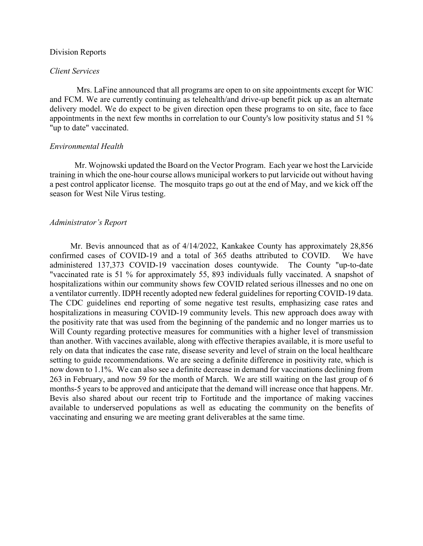#### Division Reports

#### *Client Services*

Mrs. LaFine announced that all programs are open to on site appointments except for WIC and FCM. We are currently continuing as telehealth/and drive-up benefit pick up as an alternate delivery model. We do expect to be given direction open these programs to on site, face to face appointments in the next few months in correlation to our County's low positivity status and 51 % "up to date" vaccinated.

#### *Environmental Health*

Mr. Wojnowski updated the Board on the Vector Program. Each year we host the Larvicide training in which the one-hour course allows municipal workers to put larvicide out without having a pest control applicator license. The mosquito traps go out at the end of May, and we kick off the season for West Nile Virus testing.

#### *Administrator's Report*

Mr. Bevis announced that as of 4/14/2022, Kankakee County has approximately 28,856 confirmed cases of COVID-19 and a total of 365 deaths attributed to COVID. We have administered 137,373 COVID-19 vaccination doses countywide. The County "up-to-date "vaccinated rate is 51 % for approximately 55, 893 individuals fully vaccinated. A snapshot of hospitalizations within our community shows few COVID related serious illnesses and no one on a ventilator currently. IDPH recently adopted new federal guidelines for reporting COVID-19 data. The CDC guidelines end reporting of some negative test results, emphasizing case rates and hospitalizations in measuring COVID-19 community levels. This new approach does away with the positivity rate that was used from the beginning of the pandemic and no longer marries us to Will County regarding protective measures for communities with a higher level of transmission than another. With vaccines available, along with effective therapies available, it is more useful to rely on data that indicates the case rate, disease severity and level of strain on the local healthcare setting to guide recommendations. We are seeing a definite difference in positivity rate, which is now down to 1.1%. We can also see a definite decrease in demand for vaccinations declining from 263 in February, and now 59 for the month of March. We are still waiting on the last group of 6 months-5 years to be approved and anticipate that the demand will increase once that happens. Mr. Bevis also shared about our recent trip to Fortitude and the importance of making vaccines available to underserved populations as well as educating the community on the benefits of vaccinating and ensuring we are meeting grant deliverables at the same time.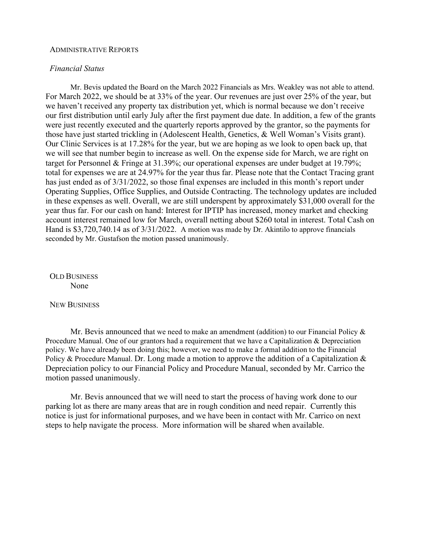#### ADMINISTRATIVE REPORTS

# *Financial Status*

Mr. Bevis updated the Board on the March 2022 Financials as Mrs. Weakley was not able to attend. For March 2022, we should be at 33% of the year. Our revenues are just over 25% of the year, but we haven't received any property tax distribution yet, which is normal because we don't receive our first distribution until early July after the first payment due date. In addition, a few of the grants were just recently executed and the quarterly reports approved by the grantor, so the payments for those have just started trickling in (Adolescent Health, Genetics, & Well Woman's Visits grant). Our Clinic Services is at 17.28% for the year, but we are hoping as we look to open back up, that we will see that number begin to increase as well. On the expense side for March, we are right on target for Personnel & Fringe at 31.39%; our operational expenses are under budget at 19.79%; total for expenses we are at 24.97% for the year thus far. Please note that the Contact Tracing grant has just ended as of 3/31/2022, so those final expenses are included in this month's report under Operating Supplies, Office Supplies, and Outside Contracting. The technology updates are included in these expenses as well. Overall, we are still underspent by approximately \$31,000 overall for the year thus far. For our cash on hand: Interest for IPTIP has increased, money market and checking account interest remained low for March, overall netting about \$260 total in interest. Total Cash on Hand is \$3,720,740.14 as of 3/31/2022. A motion was made by Dr. Akintilo to approve financials seconded by Mr. Gustafson the motion passed unanimously.

OLD BUSINESS None

NEW BUSINESS

Mr. Bevis announced that we need to make an amendment (addition) to our Financial Policy  $\&$ Procedure Manual. One of our grantors had a requirement that we have a Capitalization & Depreciation policy. We have already been doing this; however, we need to make a formal addition to the Financial Policy & Procedure Manual. Dr. Long made a motion to approve the addition of a Capitalization & Depreciation policy to our Financial Policy and Procedure Manual, seconded by Mr. Carrico the motion passed unanimously.

Mr. Bevis announced that we will need to start the process of having work done to our parking lot as there are many areas that are in rough condition and need repair. Currently this notice is just for informational purposes, and we have been in contact with Mr. Carrico on next steps to help navigate the process. More information will be shared when available.